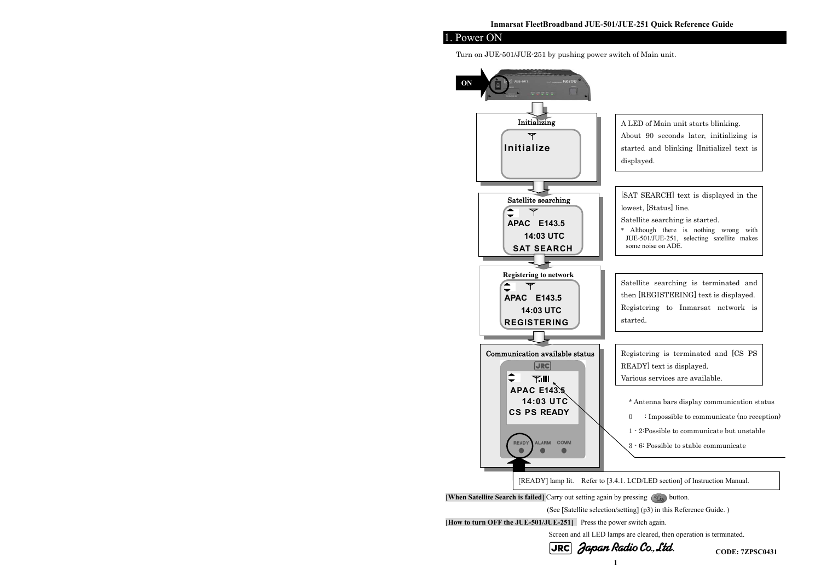### **Inmarsat FleetBroadband JUE-501/JUE-251 Quick Reference Guide**

# 1. Power ON

(See [Satellite selection/setting] (p3) in this Reference Guide. )

**[How to turn OFF the JUE-501/JUE-251]** Press the power switch again.





**[When Satellite Search is failed]** Carry out setting again by pressing  $\mathcal{P}_a$  button.

Screen and all LED lamps are cleared, then operation is terminated.

Turn on JUE-501/JUE-251 by pushing power switch of Main unit.

\* Antenna bars display communication status

0 : Impossible to communicate (no reception)

1 - 2:Possible to communicate but unstable

3 - 6: Possible to stable communicate

Registering is terminated and [CS PS READY] text is displayed.

Various services are available.

[READY] lamp lit. Refer to [3.4.1. LCD/LED section] of Instruction Manual.

Satellite searching is terminated and then [REGISTERING] text is displayed. Registering to Inmarsat network is started.

A LED of Main unit starts blinking. About 90 seconds later, initializing is started and blinking [Initialize] text is displayed.

[SAT SEARCH] text is displayed in the lowest, [Status] line.

Satellite searching is started.

\* Although there is nothing wrong with JUE-501/JUE-251, selecting satellite makes some noise on ADE.

**CODE: 7ZPSC0431**